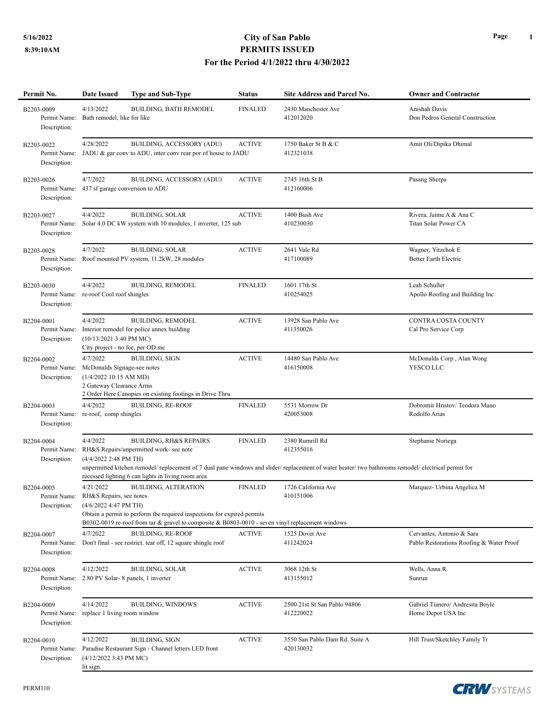## **5/16/2022 City of San Pablo PERMITS ISSUED For the Period 4/1/2022 thru 4/30/2022**

| Permit No.                                 | Date Issued                                                                                                                                                                                                                                                                                                                                                     | <b>Type and Sub-Type</b>                                                                                                           | <b>Status</b>  | Site Address and Parcel No.                                                                                                                                                           | <b>Owner and Contractor</b>                                           |  |
|--------------------------------------------|-----------------------------------------------------------------------------------------------------------------------------------------------------------------------------------------------------------------------------------------------------------------------------------------------------------------------------------------------------------------|------------------------------------------------------------------------------------------------------------------------------------|----------------|---------------------------------------------------------------------------------------------------------------------------------------------------------------------------------------|-----------------------------------------------------------------------|--|
| B2203-0009<br>Permit Name:<br>Description: | 4/13/2022<br>Bath remodel, like for like                                                                                                                                                                                                                                                                                                                        | <b>BUILDING, BATH REMODEL</b>                                                                                                      | <b>FINALED</b> | 2430 Manchester Ave<br>412012020                                                                                                                                                      | Anishah Davis<br>Don Pedros General Construction                      |  |
| B2203-0022<br>Permit Name:<br>Description: | 4/28/2022                                                                                                                                                                                                                                                                                                                                                       | BUILDING, ACCESSORY (ADU)<br>JADU & gar conv to ADU, inter conv rear por of house to JADU                                          | <b>ACTIVE</b>  | 1750 Baker St B & C<br>412321038                                                                                                                                                      | Amit Oli/Dipika Dhimal                                                |  |
| B2203-0026<br>Permit Name:<br>Description: | 4/7/2022<br>437 sf garage conversion to ADU                                                                                                                                                                                                                                                                                                                     | BUILDING, ACCESSORY (ADU)                                                                                                          | <b>ACTIVE</b>  | 2745 16th St B<br>412160006                                                                                                                                                           | Pasang Sherpa                                                         |  |
| B2203-0027<br>Permit Name:<br>Description: | 4/4/2022                                                                                                                                                                                                                                                                                                                                                        | <b>BUILDING, SOLAR</b><br>Solar 4.0 DC kW system with 10 modules, 1 inverter, 125 sub                                              | <b>ACTIVE</b>  | 1400 Bush Ave<br>410230030                                                                                                                                                            | Rivera, Jaime A & Ana C<br>Titan Solar Power CA                       |  |
| B2203-0028<br>Permit Name:<br>Description: | 4/7/2022                                                                                                                                                                                                                                                                                                                                                        | <b>BUILDING, SOLAR</b><br>Roof mounted PV system, 11.2kW, 28 modules                                                               | <b>ACTIVE</b>  | 2641 Vale Rd<br>417100089                                                                                                                                                             | Wagner, Yitzchok E<br><b>Better Earth Electric</b>                    |  |
| B2203-0030<br>Permit Name:<br>Description: | 4/4/2022<br>re-roof Cool roof shingles                                                                                                                                                                                                                                                                                                                          | <b>BUILDING, REMODEL</b>                                                                                                           | <b>FINALED</b> | 1601 17th St<br>410254025                                                                                                                                                             | Leah Schuller<br>Apollo Roofing and Building Inc                      |  |
| B2204-0001<br>Permit Name:<br>Description: | 4/4/2022<br>(10/13/2021 3:40 PM MC)<br>City project - no fee, per OD.mc                                                                                                                                                                                                                                                                                         | <b>BUILDING, REMODEL</b><br>Interior remodel for police annex building                                                             | <b>ACTIVE</b>  | 13928 San Pablo Ave<br>411350026                                                                                                                                                      | <b>CONTRA COSTA COUNTY</b><br>Cal Pro Service Corp                    |  |
| B2204-0002<br>Permit Name:<br>Description: | 4/7/2022<br>McDonalds Signage-see notes<br>(1/4/2022 10:15 AM MD)<br>2 Gateway Clearance Arms                                                                                                                                                                                                                                                                   | <b>BUILDING, SIGN</b><br>2 Order Here Canopies on existing footings in Drive Thru                                                  | <b>ACTIVE</b>  | 14480 San Pablo Ave<br>416150008                                                                                                                                                      | McDonalds Corp., Alan Wong<br>YESCO LLC                               |  |
| B2204-0003<br>Permit Name:<br>Description: | 4/4/2022<br>re-roof, comp shingles                                                                                                                                                                                                                                                                                                                              | <b>BUILDING, RE-ROOF</b>                                                                                                           | <b>FINALED</b> | 5531 Morrow Dr<br>420053008                                                                                                                                                           | Dobromir Hristov/Teodora Mano<br>Rodolfo Arias                        |  |
| B2204-0004<br>Permit Name:<br>Description: | 4/4/2022<br>(4/4/2022 2:48 PM TH)                                                                                                                                                                                                                                                                                                                               | <b>BUILDING, RH&amp;S REPAIRS</b><br>RH&S Repairs/unpermitted work- see note<br>recessed lighting 6 can lights in living room area | <b>FINALED</b> | 2380 Rumrill Rd<br>412355016<br>unpermitted kitchen remodel/ replacement of 7 dual pane windows and slider/ replacement of water heater/ two bathrooms remodel/ electrical permit for | Stephanie Noriega                                                     |  |
| B2204-0005<br>Permit Name:<br>Description: | 4/21/2022<br><b>BUILDING, ALTERATION</b><br><b>FINALED</b><br>1726 California Ave<br>Marquez- Urbina Angelica M<br>RH&S Repairs, see notes<br>410151006<br>(4/6/2022 4:47 PM TH)<br>Obtain a permit to perform the required inspections for expired permits<br>B0302-0019 re-roof from tar & gravel to composite & B0803-0010 - seven vinyl replacement windows |                                                                                                                                    |                |                                                                                                                                                                                       |                                                                       |  |
| B2204-0007<br>Permit Name:<br>Description: | 4/7/2022                                                                                                                                                                                                                                                                                                                                                        | <b>BUILDING, RE-ROOF</b><br>Don't final - see restrict, tear off, 12 square shingle roof                                           | <b>ACTIVE</b>  | 1525 Dover Ave<br>411242024                                                                                                                                                           | Cervantes, Antonio & Sara<br>Pablo Restorations Roofing & Water Proof |  |
| B2204-0008<br>Permit Name:<br>Description: | 4/12/2022<br>2.80 PV Solar-8 panels, 1 inverter                                                                                                                                                                                                                                                                                                                 | <b>BUILDING, SOLAR</b>                                                                                                             | <b>ACTIVE</b>  | 3068 12th St<br>413155012                                                                                                                                                             | Wells, Anna R<br>Sunrun                                               |  |
| B2204-0009<br>Permit Name:<br>Description: | 4/14/2022<br>replace 1 living room window                                                                                                                                                                                                                                                                                                                       | <b>BUILDING, WINDOWS</b>                                                                                                           | <b>ACTIVE</b>  | 2500 21st St San Pablo 94806<br>412220022                                                                                                                                             | Gabriel Tianero/ Andresita Boyle<br>Home Depot USA Inc                |  |
| B2204-0010<br>Permit Name:<br>Description: | 4/12/2022<br>$(4/12/20223:43 \text{ PM MC})$<br>lit sign.                                                                                                                                                                                                                                                                                                       | <b>BUILDING, SIGN</b><br>Paradise Restaurant Sign - Channel letters LED front                                                      | <b>ACTIVE</b>  | 3550 San Pablo Dam Rd. Suite A<br>420130032                                                                                                                                           | Hill Trust/Sketchley Family Tr                                        |  |



**CRW**SYSTEMS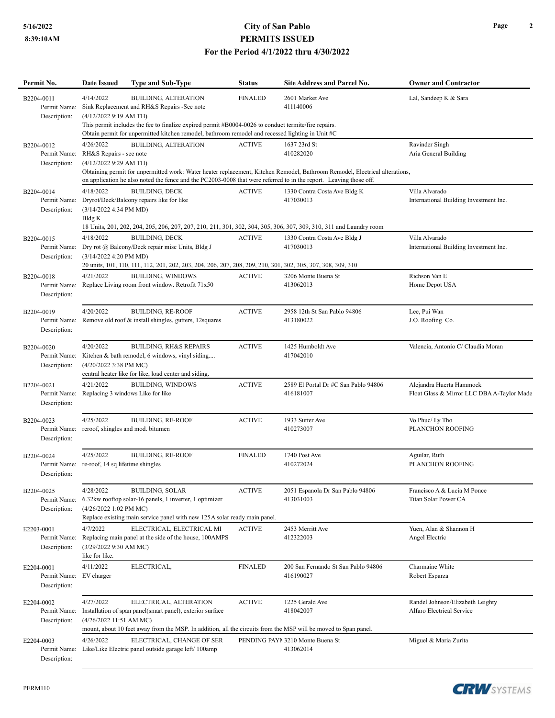## **5/16/2022 City of San Pablo PERMITS ISSUED For the Period 4/1/2022 thru 4/30/2022**

| Permit No.                                 | Date Issued                                                                                                                                                                                                                                                                 | <b>Type and Sub-Type</b>                                                                                                                                                                               | <b>Status</b>  | <b>Site Address and Parcel No.</b>                | <b>Owner and Contractor</b>                                            |  |  |  |  |
|--------------------------------------------|-----------------------------------------------------------------------------------------------------------------------------------------------------------------------------------------------------------------------------------------------------------------------------|--------------------------------------------------------------------------------------------------------------------------------------------------------------------------------------------------------|----------------|---------------------------------------------------|------------------------------------------------------------------------|--|--|--|--|
| B2204-0011<br>Permit Name:                 | 4/14/2022                                                                                                                                                                                                                                                                   | <b>BUILDING, ALTERATION</b><br>Sink Replacement and RH&S Repairs -See note                                                                                                                             | <b>FINALED</b> | 2601 Market Ave<br>411140006                      | Lal, Sandeep K & Sara                                                  |  |  |  |  |
| Description:                               | (4/12/2022 9:19 AM TH)<br>This permit includes the fee to finalize expired permit #B0004-0026 to conduct termite/fire repairs.<br>Obtain permit for unpermitted kitchen remodel, bathroom remodel and recessed lighting in Unit #C                                          |                                                                                                                                                                                                        |                |                                                   |                                                                        |  |  |  |  |
| B2204-0012<br>Permit Name:                 | 4/26/2022<br>RH&S Repairs - see note                                                                                                                                                                                                                                        | <b>BUILDING, ALTERATION</b>                                                                                                                                                                            | <b>ACTIVE</b>  | 1637 23rd St<br>410282020                         | Ravinder Singh<br>Aria General Building                                |  |  |  |  |
| Description:                               | (4/12/2022 9:29 AM TH)<br>Obtaining permit for unpermitted work: Water heater replacement, Kitchen Remodel, Bathroom Remodel, Electrical alterations,<br>on application he also noted the fence and the PC2003-0008 that were referred to in the report. Leaving those off. |                                                                                                                                                                                                        |                |                                                   |                                                                        |  |  |  |  |
| B2204-0014<br>Permit Name:<br>Description: | 4/18/2022<br>(3/14/2022 4:34 PM MD)                                                                                                                                                                                                                                         | <b>BUILDING, DECK</b><br>Dryrot/Deck/Balcony repairs like for like                                                                                                                                     | <b>ACTIVE</b>  | 1330 Contra Costa Ave Bldg K<br>417030013         | Villa Alvarado<br>International Building Investment Inc.               |  |  |  |  |
| B2204-0015<br>Permit Name:                 | Bldg K<br>4/18/2022                                                                                                                                                                                                                                                         | 18 Units, 201, 202, 204, 205, 206, 207, 207, 210, 211, 301, 302, 304, 305, 306, 307, 309, 310, 311 and Laundry room<br><b>BUILDING, DECK</b><br>Dry rot @ Balcony/Deck repair misc Units, Bldg J       | <b>ACTIVE</b>  | 1330 Contra Costa Ave Bldg J<br>417030013         | Villa Alvarado<br>International Building Investment Inc.               |  |  |  |  |
| Description:                               | (3/14/2022 4:20 PM MD)<br>20 units, 101, 110, 111, 112, 201, 202, 203, 204, 206, 207, 208, 209, 210, 301, 302, 305, 307, 308, 309, 310                                                                                                                                      |                                                                                                                                                                                                        |                |                                                   |                                                                        |  |  |  |  |
| B2204-0018<br>Permit Name:<br>Description: | 4/21/2022                                                                                                                                                                                                                                                                   | <b>BUILDING, WINDOWS</b><br>Replace Living room front window. Retrofit 71x50                                                                                                                           | <b>ACTIVE</b>  | 3206 Monte Buena St<br>413062013                  | Richson Van E<br>Home Depot USA                                        |  |  |  |  |
| B2204-0019<br>Permit Name:<br>Description: | 4/20/2022                                                                                                                                                                                                                                                                   | <b>BUILDING, RE-ROOF</b><br>Remove old roof & install shingles, gutters, 12 squares                                                                                                                    | <b>ACTIVE</b>  | 2958 12th St San Pablo 94806<br>413180022         | Lee, Pui Wan<br>J.O. Roofing Co.                                       |  |  |  |  |
| B2204-0020<br>Permit Name:<br>Description: | 4/20/2022<br>(4/20/2022 3:38 PM MC)                                                                                                                                                                                                                                         | <b>BUILDING, RH&amp;S REPAIRS</b><br>Kitchen & bath remodel, 6 windows, vinyl siding<br>central heater like for like, load center and siding.                                                          | <b>ACTIVE</b>  | 1425 Humboldt Ave<br>417042010                    | Valencia, Antonio C/ Claudia Moran                                     |  |  |  |  |
| B2204-0021<br>Permit Name:<br>Description: | 4/21/2022                                                                                                                                                                                                                                                                   | <b>BUILDING, WINDOWS</b><br>Replacing 3 windows Like for like                                                                                                                                          | <b>ACTIVE</b>  | 2589 El Portal Dr #C San Pablo 94806<br>416181007 | Alejandra Huerta Hammock<br>Float Glass & Mirror LLC DBA A-Taylor Made |  |  |  |  |
| B2204-0023<br>Permit Name:<br>Description: | 4/25/2022                                                                                                                                                                                                                                                                   | <b>BUILDING, RE-ROOF</b><br>reroof, shingles and mod. bitumen                                                                                                                                          | <b>ACTIVE</b>  | 1933 Sutter Ave<br>410273007                      | Vo Phuc/ Ly Tho<br>PLANCHON ROOFING                                    |  |  |  |  |
| B2204-0024<br>Description:                 | 4/25/2022<br>Permit Name: re-roof, 14 sq lifetime shingles                                                                                                                                                                                                                  | <b>BUILDING, RE-ROOF</b>                                                                                                                                                                               | <b>FINALED</b> | 1740 Post Ave<br>410272024                        | Aguilar, Ruth<br><b>PLANCHON ROOFING</b>                               |  |  |  |  |
| B2204-0025<br>Permit Name:<br>Description: | 4/28/2022<br>$(4/26/20221:02$ PM MC)                                                                                                                                                                                                                                        | <b>BUILDING, SOLAR</b><br>6.32kw rooftop solar-16 panels, 1 inverter, 1 optimizer<br>Replace existing main service panel with new 125A solar ready main panel.                                         | <b>ACTIVE</b>  | 2051 Espanola Dr San Pablo 94806<br>413031003     | Francisco A & Lucia M Ponce<br><b>Titan Solar Power CA</b>             |  |  |  |  |
| E2203-0001<br>Permit Name:<br>Description: | 4/7/2022<br>(3/29/2022 9:30 AM MC)<br>like for like.                                                                                                                                                                                                                        | ELECTRICAL, ELECTRICAL MI<br>Replacing main panel at the side of the house, 100AMPS                                                                                                                    | <b>ACTIVE</b>  | 2453 Merritt Ave<br>412322003                     | Yuen, Alan & Shannon H<br>Angel Electric                               |  |  |  |  |
| E2204-0001<br>Permit Name:<br>Description: | 4/11/2022<br>EV charger                                                                                                                                                                                                                                                     | ELECTRICAL,                                                                                                                                                                                            | <b>FINALED</b> | 200 San Fernando St San Pablo 94806<br>416190027  | Charmaine White<br>Robert Esparza                                      |  |  |  |  |
| E2204-0002<br>Permit Name:<br>Description: | 4/27/2022<br>(4/26/2022 11:51 AM MC)                                                                                                                                                                                                                                        | ELECTRICAL, ALTERATION<br>Installation of span panel(smart panel), exterior surface<br>mount, about 10 feet away from the MSP. In addition, all the circuits from the MSP will be moved to Span panel. | <b>ACTIVE</b>  | 1225 Gerald Ave<br>418042007                      | Randel Johnson/Elizabeth Leighty<br>Alfaro Electrical Service          |  |  |  |  |
| E2204-0003<br>Description:                 | 4/26/2022                                                                                                                                                                                                                                                                   | ELECTRICAL, CHANGE OF SER<br>Permit Name: Like/Like Electric panel outside garage left/100amp                                                                                                          |                | PENDING PAYN 3210 Monte Buena St<br>413062014     | Miguel & Maria Zurita                                                  |  |  |  |  |